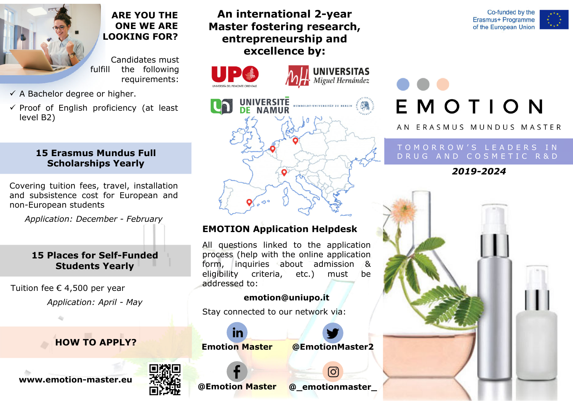

### **ARE YOU THEONE WE ARELOOKING FOR?**

Candidates must fulfill the following requirements:

 $\checkmark$  A Bachelor degree or higher.

 $\checkmark$  Proof of English proficiency (at least level B2)

#### **15 Erasmus Mundus Full Scholarships Yearly**

Covering tuition fees, travel, installation and subsistence cost for European and non-European students

*Application: December - February*

#### **15 Places for Self-FundedStudents Yearly**

Tuition fee € 4,500 per year *Application: April - May*

## **HOW TO APPLY?**





## **An international 2-year Master fostering research, entrepreneurship and excellence by:**





## **EMOTION Application Helpdesk**

All questions linked to the application process (help with the online application form, inquiries about admission & eligibility criteria, etc.) must be addressed to:

#### **emotion@uniupo.it**

Stay connected to our network via:





# EMOTION

A N ERASMUS MUNDUS MASTER

#### TOMORROW'S LEADERS INDRUG AND COSMETIC R&D

### *2019-2024*